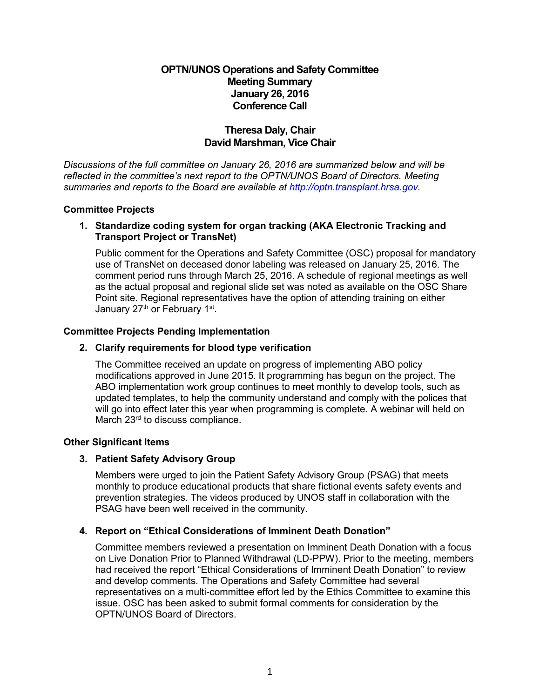## **OPTN/UNOS Operations and Safety Committee Meeting Summary January 26, 2016 Conference Call**

## **Theresa Daly, Chair David Marshman, Vice Chair**

*Discussions of the full committee on January 26, 2016 are summarized below and will be reflected in the committee's next report to the OPTN/UNOS Board of Directors. Meeting summaries and reports to the Board are available at [http://optn.transplant.hrsa.gov.](http://optn.transplant.hrsa.gov/)* 

#### **Committee Projects**

#### **1. Standardize coding system for organ tracking (AKA Electronic Tracking and Transport Project or TransNet)**

Public comment for the Operations and Safety Committee (OSC) proposal for mandatory use of TransNet on deceased donor labeling was released on January 25, 2016. The comment period runs through March 25, 2016. A schedule of regional meetings as well as the actual proposal and regional slide set was noted as available on the OSC Share Point site. Regional representatives have the option of attending training on either January 27<sup>th</sup> or February 1<sup>st</sup>.

### **Committee Projects Pending Implementation**

#### **2. Clarify requirements for blood type verification**

The Committee received an update on progress of implementing ABO policy modifications approved in June 2015. It programming has begun on the project. The ABO implementation work group continues to meet monthly to develop tools, such as updated templates, to help the community understand and comply with the polices that will go into effect later this year when programming is complete. A webinar will held on March 23<sup>rd</sup> to discuss compliance.

#### **Other Significant Items**

### **3. Patient Safety Advisory Group**

 Members were urged to join the Patient Safety Advisory Group (PSAG) that meets monthly to produce educational products that share fictional events safety events and prevention strategies. The videos produced by UNOS staff in collaboration with the PSAG have been well received in the community.

### **4. Report on "Ethical Considerations of Imminent Death Donation"**

 Committee members reviewed a presentation on Imminent Death Donation with a focus on Live Donation Prior to Planned Withdrawal (LD-PPW). Prior to the meeting, members had received the report "Ethical Considerations of Imminent Death Donation" to review and develop comments. The Operations and Safety Committee had several representatives on a multi-committee effort led by the Ethics Committee to examine this issue. OSC has been asked to submit formal comments for consideration by the OPTN/UNOS Board of Directors.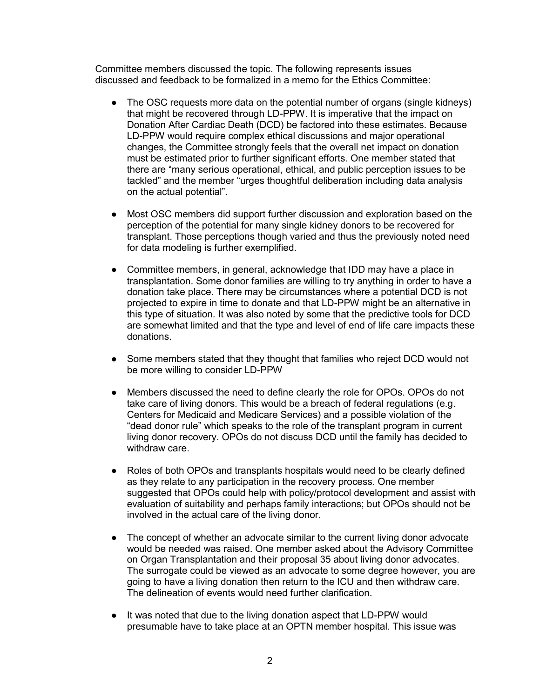Committee members discussed the topic. The following represents issues discussed and feedback to be formalized in a memo for the Ethics Committee:

- The OSC requests more data on the potential number of organs (single kidneys) that might be recovered through LD-PPW. It is imperative that the impact on Donation After Cardiac Death (DCD) be factored into these estimates. Because LD-PPW would require complex ethical discussions and major operational changes, the Committee strongly feels that the overall net impact on donation must be estimated prior to further significant efforts. One member stated that there are "many serious operational, ethical, and public perception issues to be tackled" and the member "urges thoughtful deliberation including data analysis on the actual potential".
- Most OSC members did support further discussion and exploration based on the perception of the potential for many single kidney donors to be recovered for transplant. Those perceptions though varied and thus the previously noted need for data modeling is further exemplified.
- Committee members, in general, acknowledge that IDD may have a place in transplantation. Some donor families are willing to try anything in order to have a donation take place. There may be circumstances where a potential DCD is not projected to expire in time to donate and that LD-PPW might be an alternative in this type of situation. It was also noted by some that the predictive tools for DCD are somewhat limited and that the type and level of end of life care impacts these donations.
- Some members stated that they thought that families who reject DCD would not be more willing to consider LD-PPW
- Members discussed the need to define clearly the role for OPOs. OPOs do not take care of living donors. This would be a breach of federal regulations (e.g. Centers for Medicaid and Medicare Services) and a possible violation of the "dead donor rule" which speaks to the role of the transplant program in current living donor recovery. OPOs do not discuss DCD until the family has decided to withdraw care.
- Roles of both OPOs and transplants hospitals would need to be clearly defined as they relate to any participation in the recovery process. One member suggested that OPOs could help with policy/protocol development and assist with evaluation of suitability and perhaps family interactions; but OPOs should not be involved in the actual care of the living donor.
- The concept of whether an advocate similar to the current living donor advocate would be needed was raised. One member asked about the Advisory Committee on Organ Transplantation and their proposal 35 about living donor advocates. The surrogate could be viewed as an advocate to some degree however, you are going to have a living donation then return to the ICU and then withdraw care. The delineation of events would need further clarification.
- It was noted that due to the living donation aspect that LD-PPW would presumable have to take place at an OPTN member hospital. This issue was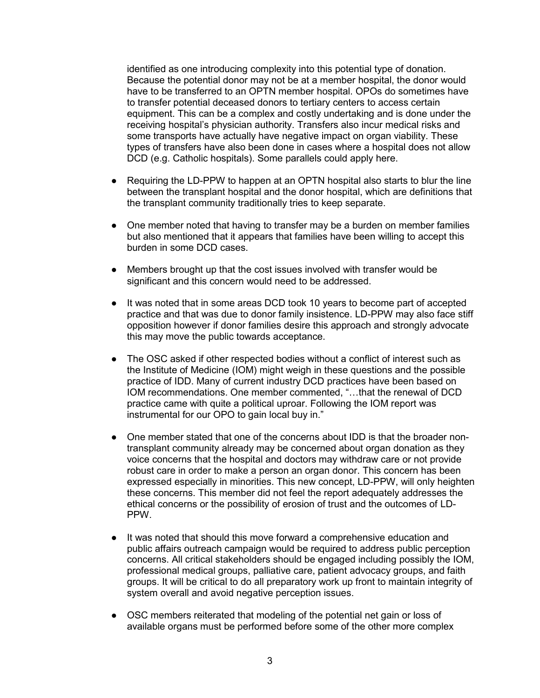identified as one introducing complexity into this potential type of donation. Because the potential donor may not be at a member hospital, the donor would have to be transferred to an OPTN member hospital. OPOs do sometimes have to transfer potential deceased donors to tertiary centers to access certain equipment. This can be a complex and costly undertaking and is done under the receiving hospital's physician authority. Transfers also incur medical risks and some transports have actually have negative impact on organ viability. These types of transfers have also been done in cases where a hospital does not allow DCD (e.g. Catholic hospitals). Some parallels could apply here.

- Requiring the LD-PPW to happen at an OPTN hospital also starts to blur the line between the transplant hospital and the donor hospital, which are definitions that the transplant community traditionally tries to keep separate.
- One member noted that having to transfer may be a burden on member families but also mentioned that it appears that families have been willing to accept this burden in some DCD cases.
- Members brought up that the cost issues involved with transfer would be significant and this concern would need to be addressed.
- It was noted that in some areas DCD took 10 years to become part of accepted practice and that was due to donor family insistence. LD-PPW may also face stiff opposition however if donor families desire this approach and strongly advocate this may move the public towards acceptance.
- The OSC asked if other respected bodies without a conflict of interest such as the Institute of Medicine (IOM) might weigh in these questions and the possible practice of IDD. Many of current industry DCD practices have been based on IOM recommendations. One member commented, "…that the renewal of DCD practice came with quite a political uproar. Following the IOM report was instrumental for our OPO to gain local buy in."
- One member stated that one of the concerns about IDD is that the broader nontransplant community already may be concerned about organ donation as they voice concerns that the hospital and doctors may withdraw care or not provide robust care in order to make a person an organ donor. This concern has been expressed especially in minorities. This new concept, LD-PPW, will only heighten these concerns. This member did not feel the report adequately addresses the ethical concerns or the possibility of erosion of trust and the outcomes of LD-PPW.
- It was noted that should this move forward a comprehensive education and public affairs outreach campaign would be required to address public perception concerns. All critical stakeholders should be engaged including possibly the IOM, professional medical groups, palliative care, patient advocacy groups, and faith groups. It will be critical to do all preparatory work up front to maintain integrity of system overall and avoid negative perception issues.
- OSC members reiterated that modeling of the potential net gain or loss of available organs must be performed before some of the other more complex